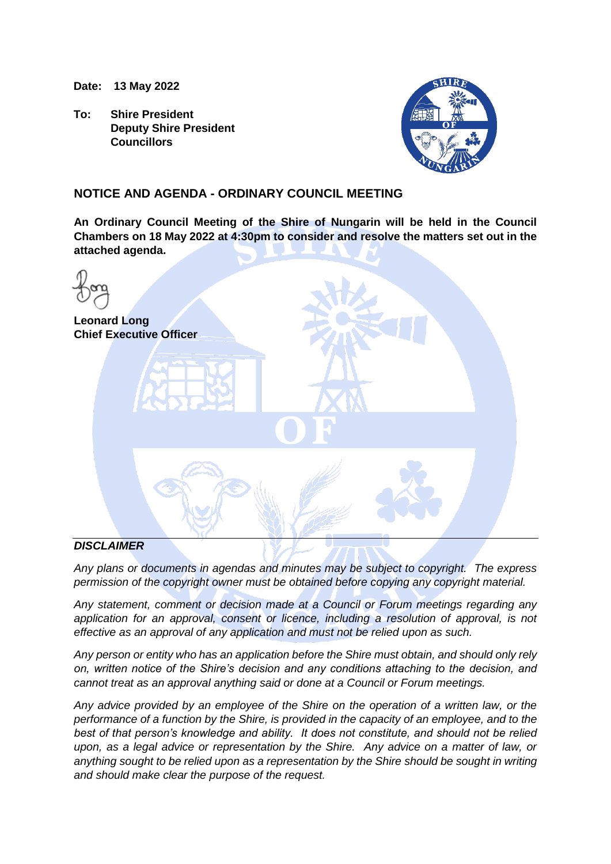**Date: 13 May 2022**

**To: Shire President Deputy Shire President Councillors**



### **NOTICE AND AGENDA - ORDINARY COUNCIL MEETING**

**An Ordinary Council Meeting of the Shire of Nungarin will be held in the Council Chambers on 18 May 2022 at 4:30pm to consider and resolve the matters set out in the attached agenda.**

| <b>Leonard Long</b><br><b>Chief Executive Officer</b> |
|-------------------------------------------------------|
| $\blacksquare$                                        |
|                                                       |

### *DISCLAIMER*

*Any plans or documents in agendas and minutes may be subject to copyright. The express permission of the copyright owner must be obtained before copying any copyright material.*

*Any statement, comment or decision made at a Council or Forum meetings regarding any application for an approval, consent or licence, including a resolution of approval, is not effective as an approval of any application and must not be relied upon as such.*

*Any person or entity who has an application before the Shire must obtain, and should only rely on, written notice of the Shire's decision and any conditions attaching to the decision, and cannot treat as an approval anything said or done at a Council or Forum meetings.*

*Any advice provided by an employee of the Shire on the operation of a written law, or the performance of a function by the Shire, is provided in the capacity of an employee, and to the best of that person's knowledge and ability. It does not constitute, and should not be relied upon, as a legal advice or representation by the Shire. Any advice on a matter of law, or anything sought to be relied upon as a representation by the Shire should be sought in writing and should make clear the purpose of the request.*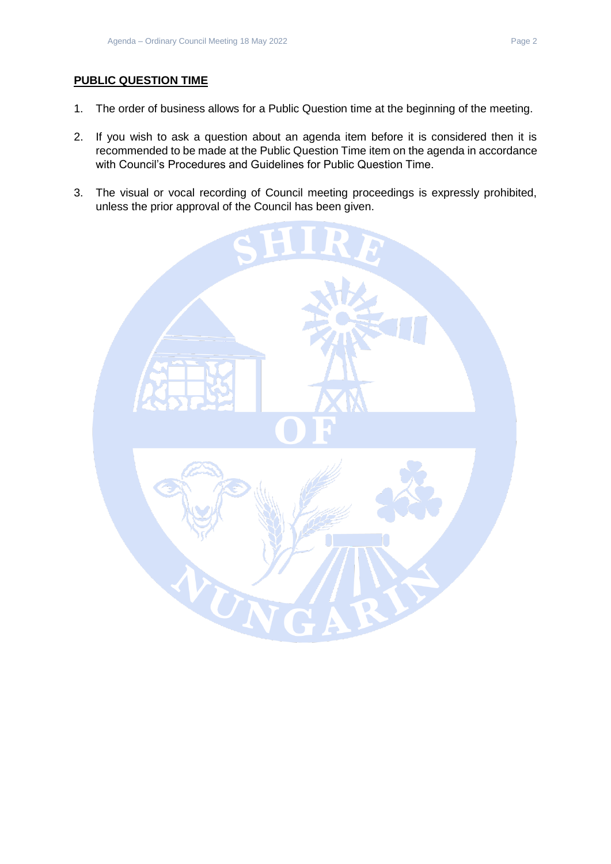### **PUBLIC QUESTION TIME**

- 1. The order of business allows for a Public Question time at the beginning of the meeting.
- 2. If you wish to ask a question about an agenda item before it is considered then it is recommended to be made at the Public Question Time item on the agenda in accordance with Council's Procedures and Guidelines for Public Question Time.
- 3. The visual or vocal recording of Council meeting proceedings is expressly prohibited, unless the prior approval of the Council has been given.

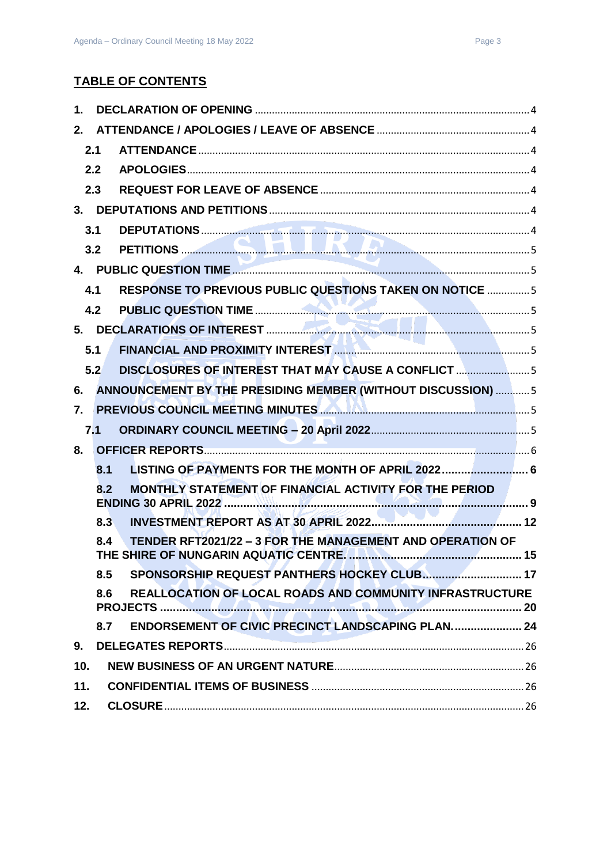# **TABLE OF CONTENTS**

| 1.  |                                                                  |                                                                  |  |  |
|-----|------------------------------------------------------------------|------------------------------------------------------------------|--|--|
| 2.  |                                                                  |                                                                  |  |  |
|     | 2.1                                                              |                                                                  |  |  |
|     | 2.2                                                              |                                                                  |  |  |
|     | 2.3                                                              |                                                                  |  |  |
|     |                                                                  |                                                                  |  |  |
|     | 3.1                                                              |                                                                  |  |  |
|     | 3.2                                                              |                                                                  |  |  |
|     |                                                                  |                                                                  |  |  |
|     | 4.1                                                              | RESPONSE TO PREVIOUS PUBLIC QUESTIONS TAKEN ON NOTICE  5         |  |  |
|     | 4.2                                                              |                                                                  |  |  |
|     |                                                                  |                                                                  |  |  |
|     | 5.1                                                              |                                                                  |  |  |
|     | 5.2                                                              | DISCLOSURES OF INTEREST THAT MAY CAUSE A CONFLICT 5              |  |  |
| 6.  |                                                                  | ANNOUNCEMENT BY THE PRESIDING MEMBER (WITHOUT DISCUSSION)  5     |  |  |
| 7.  |                                                                  | PREVIOUS COUNCIL MEETING MINUTES <b>AND ALL AND CONSTRUCTS</b> 5 |  |  |
|     | 7.1                                                              |                                                                  |  |  |
| 8.  |                                                                  |                                                                  |  |  |
|     | 8.1                                                              | LISTING OF PAYMENTS FOR THE MONTH OF APRIL 2022 6                |  |  |
|     | 8.2                                                              | MONTHLY STATEMENT OF FINANCIAL ACTIVITY FOR THE PERIOD           |  |  |
|     | 8.3                                                              |                                                                  |  |  |
|     | TENDER RFT2021/22 - 3 FOR THE MANAGEMENT AND OPERATION OF<br>8.4 |                                                                  |  |  |
|     | 8.5                                                              |                                                                  |  |  |
|     | 8.6                                                              | <b>REALLOCATION OF LOCAL ROADS AND COMMUNITY INFRASTRUCTURE</b>  |  |  |
|     | 8.7                                                              | <b>ENDORSEMENT OF CIVIC PRECINCT LANDSCAPING PLAN 24</b>         |  |  |
| 9.  |                                                                  |                                                                  |  |  |
| 10. |                                                                  |                                                                  |  |  |
| 11. |                                                                  |                                                                  |  |  |
| 12. |                                                                  |                                                                  |  |  |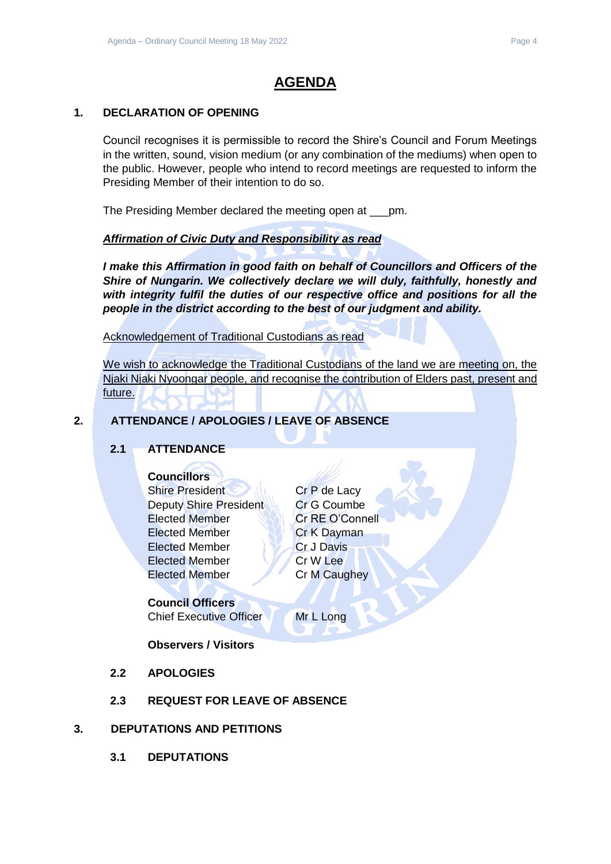# **AGENDA**

### <span id="page-3-0"></span>**1. DECLARATION OF OPENING**

Council recognises it is permissible to record the Shire's Council and Forum Meetings in the written, sound, vision medium (or any combination of the mediums) when open to the public. However, people who intend to record meetings are requested to inform the Presiding Member of their intention to do so.

The Presiding Member declared the meeting open at \_\_\_pm.

### *Affirmation of Civic Duty and Responsibility as read*

*I make this Affirmation in good faith on behalf of Councillors and Officers of the Shire of Nungarin. We collectively declare we will duly, faithfully, honestly and with integrity fulfil the duties of our respective office and positions for all the people in the district according to the best of our judgment and ability.*

Acknowledgement of Traditional Custodians as read

We wish to acknowledge the Traditional Custodians of the land we are meeting on, the Niaki Niaki Nyoongar people, and recognise the contribution of Elders past, present and future.

### <span id="page-3-2"></span><span id="page-3-1"></span>**2. ATTENDANCE / APOLOGIES / LEAVE OF ABSENCE**

### **2.1 ATTENDANCE**

- **Councillors**
- Shire President Cr P de Lacy Deputy Shire President Cr G Coumbe Elected Member Cr RE O'Connell Elected Member **Cr K Dayman** Elected Member Cr J Davis Elected Member Cr W Lee Elected Member Cr M Caughey

### **Council Officers** Chief Executive Officer Mr L Long

**Observers / Visitors**

- <span id="page-3-3"></span>**2.2 APOLOGIES**
- **2.3 REQUEST FOR LEAVE OF ABSENCE**

### <span id="page-3-6"></span><span id="page-3-5"></span><span id="page-3-4"></span>**3. DEPUTATIONS AND PETITIONS**

**3.1 DEPUTATIONS**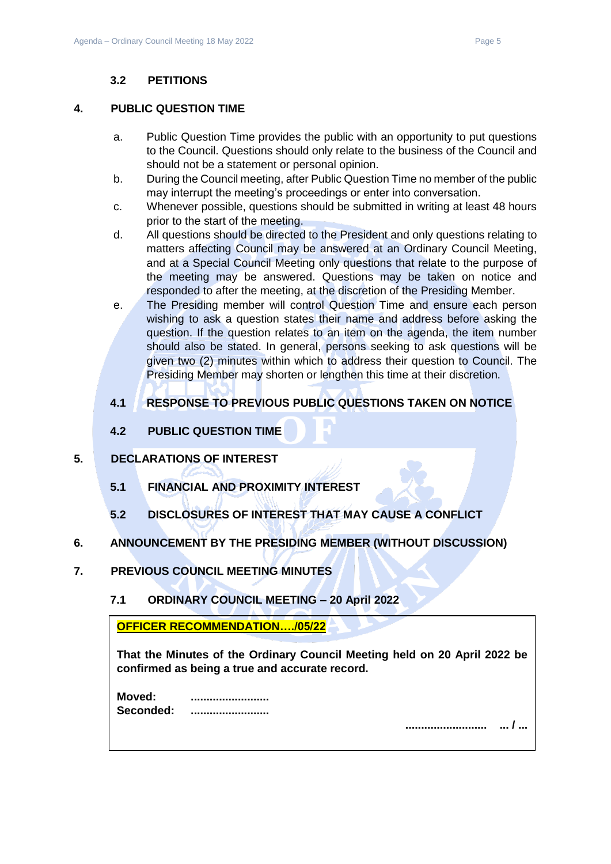### **3.2 PETITIONS**

### <span id="page-4-1"></span><span id="page-4-0"></span>**4. PUBLIC QUESTION TIME**

- a. Public Question Time provides the public with an opportunity to put questions to the Council. Questions should only relate to the business of the Council and should not be a statement or personal opinion.
- b. During the Council meeting, after Public Question Time no member of the public may interrupt the meeting's proceedings or enter into conversation.
- c. Whenever possible, questions should be submitted in writing at least 48 hours prior to the start of the meeting.
- d. All questions should be directed to the President and only questions relating to matters affecting Council may be answered at an Ordinary Council Meeting, and at a Special Council Meeting only questions that relate to the purpose of the meeting may be answered. Questions may be taken on notice and responded to after the meeting, at the discretion of the Presiding Member.
- e. The Presiding member will control Question Time and ensure each person wishing to ask a question states their name and address before asking the question. If the question relates to an item on the agenda, the item number should also be stated. In general, persons seeking to ask questions will be given two (2) minutes within which to address their question to Council. The Presiding Member may shorten or lengthen this time at their discretion.

### <span id="page-4-2"></span>**4.1 RESPONSE TO PREVIOUS PUBLIC QUESTIONS TAKEN ON NOTICE**

**4.2 PUBLIC QUESTION TIME**

### <span id="page-4-5"></span><span id="page-4-4"></span><span id="page-4-3"></span>**5. DECLARATIONS OF INTEREST**

- **5.1 FINANCIAL AND PROXIMITY INTEREST**
- **5.2 DISCLOSURES OF INTEREST THAT MAY CAUSE A CONFLICT**

### <span id="page-4-7"></span><span id="page-4-6"></span>**6. ANNOUNCEMENT BY THE PRESIDING MEMBER (WITHOUT DISCUSSION)**

- <span id="page-4-9"></span><span id="page-4-8"></span>**7. PREVIOUS COUNCIL MEETING MINUTES**
	- **7.1 ORDINARY COUNCIL MEETING – 20 April 2022**

**OFFICER RECOMMENDATION…./05/22** 

**That the Minutes of the Ordinary Council Meeting held on 20 April 2022 be confirmed as being a true and accurate record.**

| Moved:    |  |
|-----------|--|
| Seconded: |  |

**.......................... ... / ...**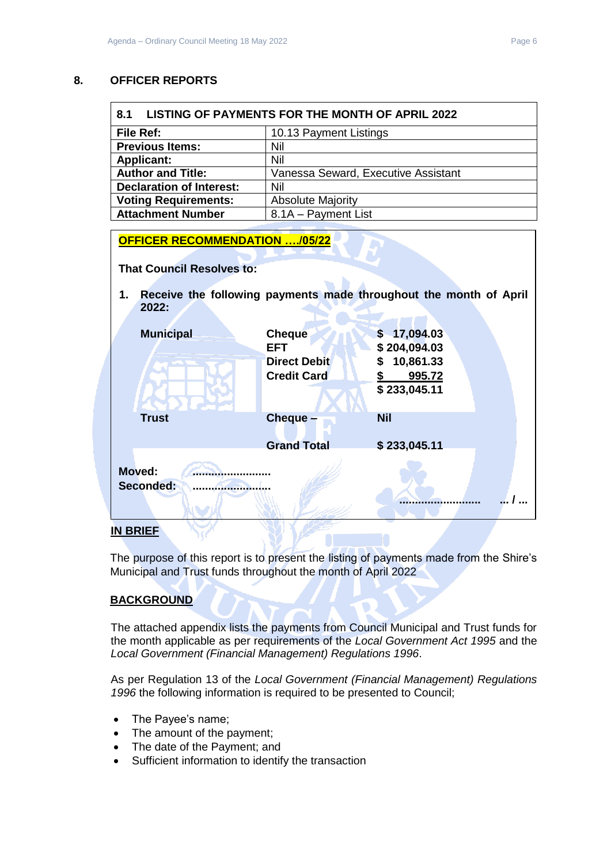### <span id="page-5-0"></span>**8. OFFICER REPORTS**

<span id="page-5-1"></span>

| 8.1<br>LISTING OF PAYMENTS FOR THE MONTH OF APRIL 2022 |                                     |  |
|--------------------------------------------------------|-------------------------------------|--|
| <b>File Ref:</b><br>10.13 Payment Listings             |                                     |  |
| <b>Previous Items:</b>                                 | Nil                                 |  |
| <b>Applicant:</b>                                      | Nil                                 |  |
| <b>Author and Title:</b>                               | Vanessa Seward, Executive Assistant |  |
| <b>Declaration of Interest:</b>                        | Nil                                 |  |
| <b>Voting Requirements:</b>                            | <b>Absolute Majority</b>            |  |
| <b>Attachment Number</b>                               | 8.1A - Payment List                 |  |

| <b>OFFICER RECOMMENDATION /05/22</b> |                                           |                                                                   |  |
|--------------------------------------|-------------------------------------------|-------------------------------------------------------------------|--|
| <b>That Council Resolves to:</b>     |                                           |                                                                   |  |
| 1.<br>2022:                          |                                           | Receive the following payments made throughout the month of April |  |
| <b>Municipal</b>                     | <b>Cheque</b><br>EFT                      | \$17,094.03<br>\$204,094.03                                       |  |
|                                      | <b>Direct Debit</b><br><b>Credit Card</b> | 10,861.33<br>995.72<br>\$233,045.11                               |  |
| <b>Trust</b>                         | <b>Cheque</b>                             | <b>Nil</b>                                                        |  |
| Moved:<br>Seconded:                  | <b>Grand Total</b>                        | \$233,045.11                                                      |  |
|                                      |                                           |                                                                   |  |

### **IN BRIEF**

The purpose of this report is to present the listing of payments made from the Shire's Municipal and Trust funds throughout the month of April 2022

### **BACKGROUND**

The attached appendix lists the payments from Council Municipal and Trust funds for the month applicable as per requirements of the *Local Government Act 1995* and the *Local Government (Financial Management) Regulations 1996*.

As per Regulation 13 of the *Local Government (Financial Management) Regulations 1996* the following information is required to be presented to Council;

- The Payee's name;
- The amount of the payment;
- The date of the Payment; and
- Sufficient information to identify the transaction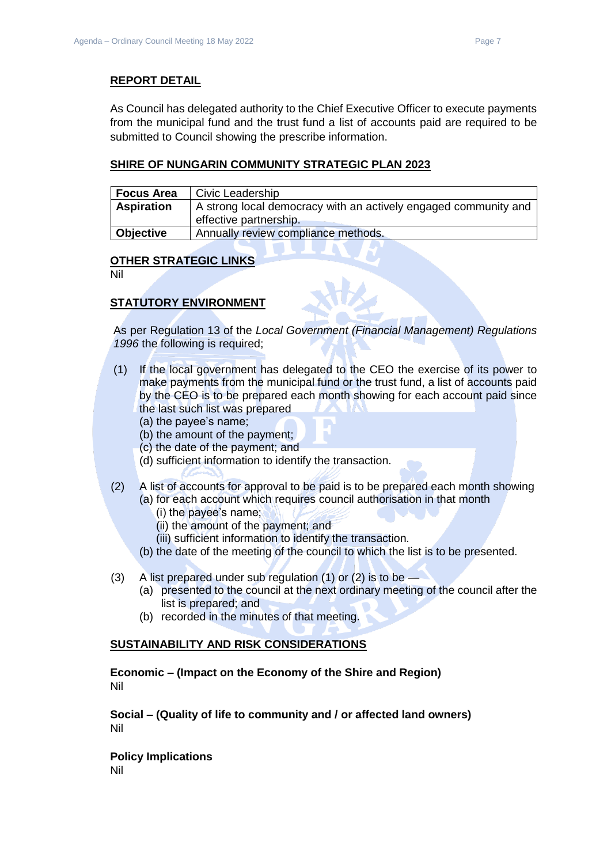### **REPORT DETAIL**

As Council has delegated authority to the Chief Executive Officer to execute payments from the municipal fund and the trust fund a list of accounts paid are required to be submitted to Council showing the prescribe information.

### **SHIRE OF NUNGARIN COMMUNITY STRATEGIC PLAN 2023**

| <b>Focus Area</b> | Civic Leadership                                                                          |
|-------------------|-------------------------------------------------------------------------------------------|
| <b>Aspiration</b> | A strong local democracy with an actively engaged community and<br>effective partnership. |
| Objective         | Annually review compliance methods.                                                       |

### **OTHER STRATEGIC LINKS**

Nil

### **STATUTORY ENVIRONMENT**

As per Regulation 13 of the *Local Government (Financial Management) Regulations 1996* the following is required;

- (1) If the local government has delegated to the CEO the exercise of its power to make payments from the municipal fund or the trust fund, a list of accounts paid by the CEO is to be prepared each month showing for each account paid since the last such list was prepared
	- (a) the payee's name;
	- (b) the amount of the payment;
	- (c) the date of the payment; and
	- (d) sufficient information to identify the transaction.
- (2) A list of accounts for approval to be paid is to be prepared each month showing (a) for each account which requires council authorisation in that month
	- (i) the payee's name;
	- (ii) the amount of the payment; and
	- (iii) sufficient information to identify the transaction.
	- (b) the date of the meeting of the council to which the list is to be presented.
- (3) A list prepared under sub regulation (1) or (2) is to be
	- (a) presented to the council at the next ordinary meeting of the council after the list is prepared; and
	- (b) recorded in the minutes of that meeting.

### **SUSTAINABILITY AND RISK CONSIDERATIONS**

**Economic – (Impact on the Economy of the Shire and Region)** Nil

**Social – (Quality of life to community and / or affected land owners)** Nil

**Policy Implications** Nil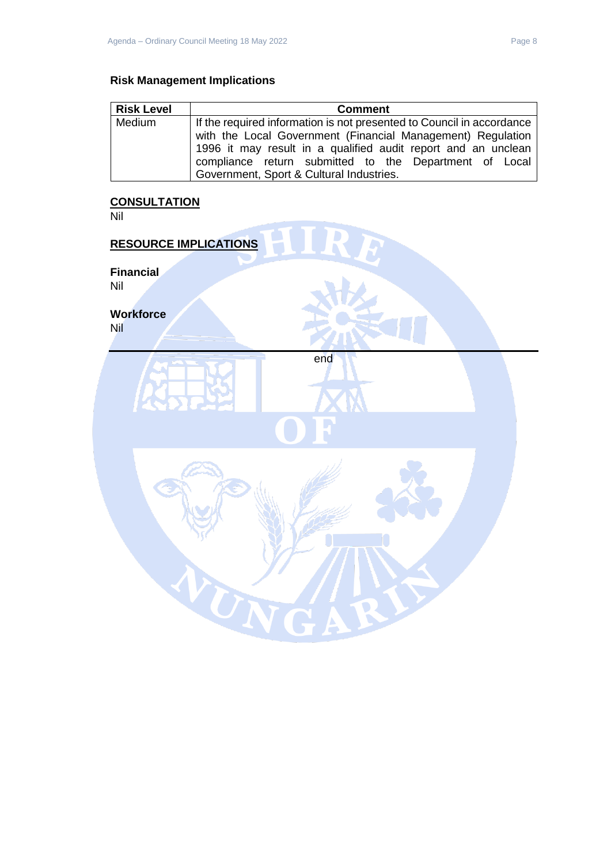### **Risk Management Implications**

| <b>Risk Level</b> | <b>Comment</b>                                                        |
|-------------------|-----------------------------------------------------------------------|
| Medium            | If the required information is not presented to Council in accordance |
|                   | with the Local Government (Financial Management) Regulation           |
|                   | 1996 it may result in a qualified audit report and an unclean         |
|                   | compliance return submitted to the Department of Local                |
|                   | Government, Sport & Cultural Industries.                              |

### **CONSULTATION**

Nil

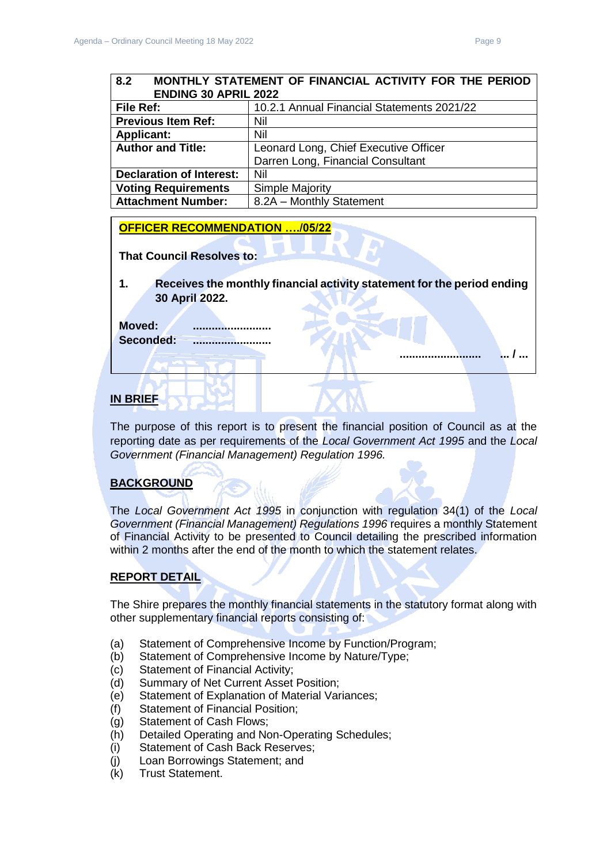**.......................... ... / ...** 

<span id="page-8-0"></span>

| 8.2<br>MONTHLY STATEMENT OF FINANCIAL ACTIVITY FOR THE PERIOD<br><b>ENDING 30 APRIL 2022</b> |                                       |  |
|----------------------------------------------------------------------------------------------|---------------------------------------|--|
| 10.2.1 Annual Financial Statements 2021/22<br>File Ref:                                      |                                       |  |
| <b>Previous Item Ref:</b><br>Nil                                                             |                                       |  |
| <b>Applicant:</b>                                                                            | Nil                                   |  |
| <b>Author and Title:</b>                                                                     | Leonard Long, Chief Executive Officer |  |
|                                                                                              | Darren Long, Financial Consultant     |  |
| <b>Declaration of Interest:</b>                                                              | Nil                                   |  |
| <b>Voting Requirements</b>                                                                   | <b>Simple Majority</b>                |  |
| <b>Attachment Number:</b>                                                                    | 8.2A - Monthly Statement              |  |

### **OFFICER RECOMMENDATION …./05/22**

**That Council Resolves to:** 

**1. Receives the monthly financial activity statement for the period ending 30 April 2022.**

**Moved: .........................** Seconded:

### **IN BRIEF**

The purpose of this report is to present the financial position of Council as at the reporting date as per requirements of the *Local Government Act 1995* and the *Local Government (Financial Management) Regulation 1996.*

### **BACKGROUND**

The *Local Government Act 1995* in conjunction with regulation 34(1) of the *Local Government (Financial Management) Regulations 1996* requires a monthly Statement of Financial Activity to be presented to Council detailing the prescribed information within 2 months after the end of the month to which the statement relates.

### **REPORT DETAIL**

The Shire prepares the monthly financial statements in the statutory format along with other supplementary financial reports consisting of:

- (a) Statement of Comprehensive Income by Function/Program;
- (b) Statement of Comprehensive Income by Nature/Type;
- (c) Statement of Financial Activity;
- (d) Summary of Net Current Asset Position;
- (e) Statement of Explanation of Material Variances;
- (f) Statement of Financial Position;
- (g) Statement of Cash Flows;
- (h) Detailed Operating and Non-Operating Schedules;
- (i) Statement of Cash Back Reserves;
- (j) Loan Borrowings Statement; and
- (k) Trust Statement.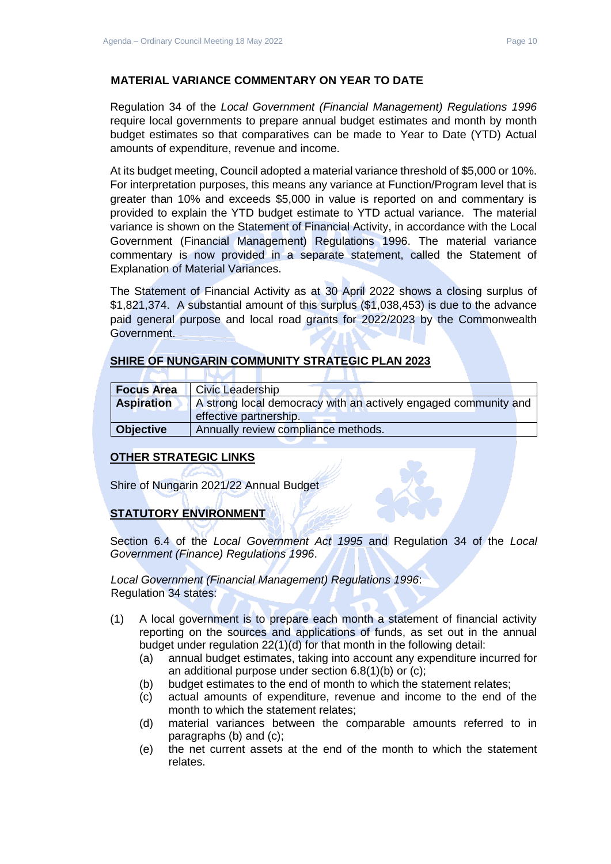### **MATERIAL VARIANCE COMMENTARY ON YEAR TO DATE**

Regulation 34 of the *Local Government (Financial Management) Regulations 1996*  require local governments to prepare annual budget estimates and month by month budget estimates so that comparatives can be made to Year to Date (YTD) Actual amounts of expenditure, revenue and income.

At its budget meeting, Council adopted a material variance threshold of \$5,000 or 10%. For interpretation purposes, this means any variance at Function/Program level that is greater than 10% and exceeds \$5,000 in value is reported on and commentary is provided to explain the YTD budget estimate to YTD actual variance. The material variance is shown on the Statement of Financial Activity, in accordance with the Local Government (Financial Management) Regulations 1996. The material variance commentary is now provided in a separate statement, called the Statement of Explanation of Material Variances.

The Statement of Financial Activity as at 30 April 2022 shows a closing surplus of \$1,821,374. A substantial amount of this surplus (\$1,038,453) is due to the advance paid general purpose and local road grants for 2022/2023 by the Commonwealth Government.

### **SHIRE OF NUNGARIN COMMUNITY STRATEGIC PLAN 2023**

| <b>Focus Area</b> | Civic Leadership                                                |  |
|-------------------|-----------------------------------------------------------------|--|
| <b>Aspiration</b> | A strong local democracy with an actively engaged community and |  |
|                   | effective partnership.                                          |  |
| <b>Objective</b>  | Annually review compliance methods.                             |  |

### **OTHER STRATEGIC LINKS**

Shire of Nungarin 2021/22 Annual Budget

### **STATUTORY ENVIRONMENT**

Section 6.4 of the *Local Government Act 1995* and Regulation 34 of the *Local Government (Finance) Regulations 1996*.

*Local Government (Financial Management) Regulations 1996*: Regulation 34 states:

- (1) A local government is to prepare each month a statement of financial activity reporting on the sources and applications of funds, as set out in the annual budget under regulation 22(1)(d) for that month in the following detail:
	- (a) annual budget estimates, taking into account any expenditure incurred for an additional purpose under section 6.8(1)(b) or (c);
	- (b) budget estimates to the end of month to which the statement relates;
	- (c) actual amounts of expenditure, revenue and income to the end of the month to which the statement relates;
	- (d) material variances between the comparable amounts referred to in paragraphs (b) and (c);
	- (e) the net current assets at the end of the month to which the statement relates.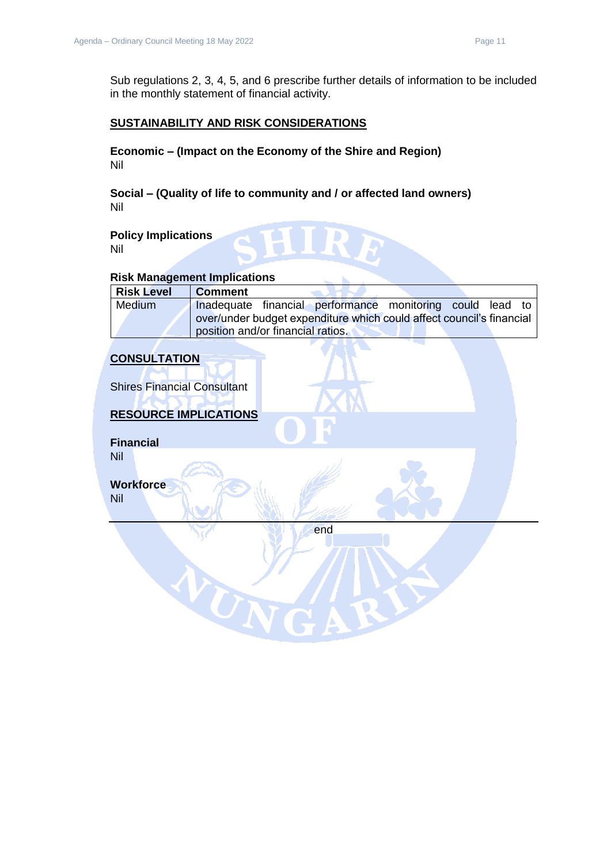Sub regulations 2, 3, 4, 5, and 6 prescribe further details of information to be included in the monthly statement of financial activity.

### **SUSTAINABILITY AND RISK CONSIDERATIONS**

**Economic – (Impact on the Economy of the Shire and Region)** Nil

**Social – (Quality of life to community and / or affected land owners)** Nil

**Policy Implications** Nil

#### **Risk Management Implications**

| <b>Risk Level</b> | <b>Comment</b>                                                       |  |  |
|-------------------|----------------------------------------------------------------------|--|--|
| Medium            | Inadequate financial performance monitoring could lead to            |  |  |
|                   | over/under budget expenditure which could affect council's financial |  |  |
|                   | position and/or financial ratios.                                    |  |  |

### **CONSULTATION**

Shires Financial Consultant

### **RESOURCE IMPLICATIONS**

TON

**Financial** Nil

**Workforce** Nil

end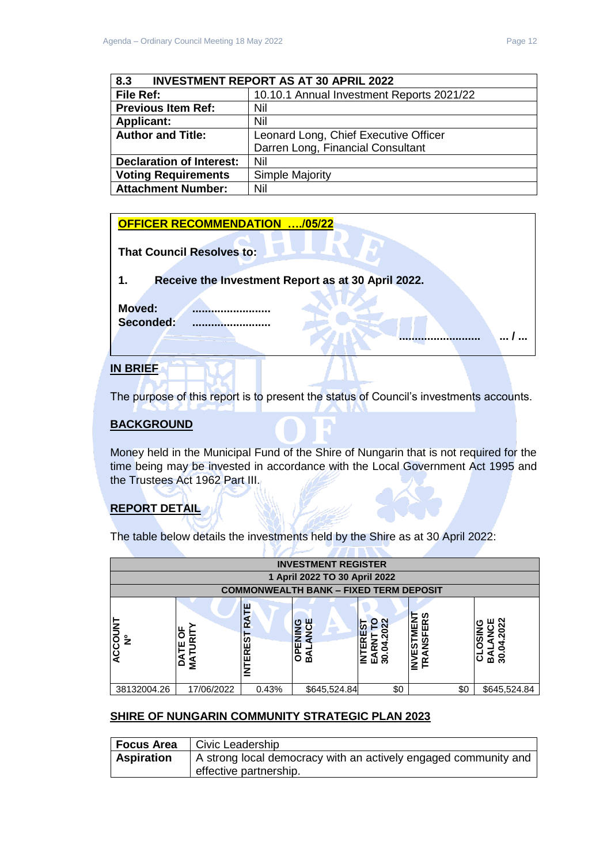**.......................... ... / ...** 

<span id="page-11-0"></span>

| <b>INVESTMENT REPORT AS AT 30 APRIL 2022</b><br>8.3 |                                           |  |
|-----------------------------------------------------|-------------------------------------------|--|
| File Ref:                                           | 10.10.1 Annual Investment Reports 2021/22 |  |
| <b>Previous Item Ref:</b>                           | Nil                                       |  |
| <b>Applicant:</b>                                   | Nil                                       |  |
| <b>Author and Title:</b>                            | Leonard Long, Chief Executive Officer     |  |
|                                                     | Darren Long, Financial Consultant         |  |
| <b>Declaration of Interest:</b>                     | Nil                                       |  |
| <b>Voting Requirements</b>                          | Simple Majority                           |  |
| <b>Attachment Number:</b>                           | Nil                                       |  |

#### **OFFICER RECOMMENDATION …./05/22**

| <b>That Council Resolves to:</b> |  |
|----------------------------------|--|
|                                  |  |

### **1. Receive the Investment Report as at 30 April 2022.**

**Moved: ......................... Seconded: .........................**

### **IN BRIEF**

The purpose of this report is to present the status of Council's investments accounts.

### **BACKGROUND**

Money held in the Municipal Fund of the Shire of Nungarin that is not required for the time being may be invested in accordance with the Local Government Act 1995 and the Trustees Act 1962 Part III.

### **REPORT DETAIL**

The table below details the investments held by the Shire as at 30 April 2022:

| <b>INVESTMENT REGISTER</b> |                   |                    |                                               |                         |                                    |                                               |
|----------------------------|-------------------|--------------------|-----------------------------------------------|-------------------------|------------------------------------|-----------------------------------------------|
|                            |                   |                    | 1 April 2022 TO 30 April 2022                 |                         |                                    |                                               |
|                            |                   |                    | <b>COMMONWEALTH BANK - FIXED TERM DEPOSIT</b> |                         |                                    |                                               |
| ACCOUNT<br>$\tilde{z}$     | ŏ<br>j۳<br>å<br>≨ | RATE<br>EREST<br>E | ш<br>o<br>ENIN<br>$\overline{6}$<br>∢<br>m    | o<br>n<br>ี่ ⊔ี ∞ี<br>같 | ທ<br>≃<br>$\frac{9}{2}$<br>်ဟ<br>ш | 2022<br>ш<br>っ<br>σ<br>೫<br>മ്<br>$\mathbf C$ |
| 38132004.26                | 17/06/2022        | 0.43%              | \$645,524.84                                  | \$0                     | \$0                                | \$645,524.84                                  |

### **SHIRE OF NUNGARIN COMMUNITY STRATEGIC PLAN 2023**

| Focus Area        | Civic Leadership                                                |
|-------------------|-----------------------------------------------------------------|
| <b>Aspiration</b> | A strong local democracy with an actively engaged community and |
|                   | effective partnership.                                          |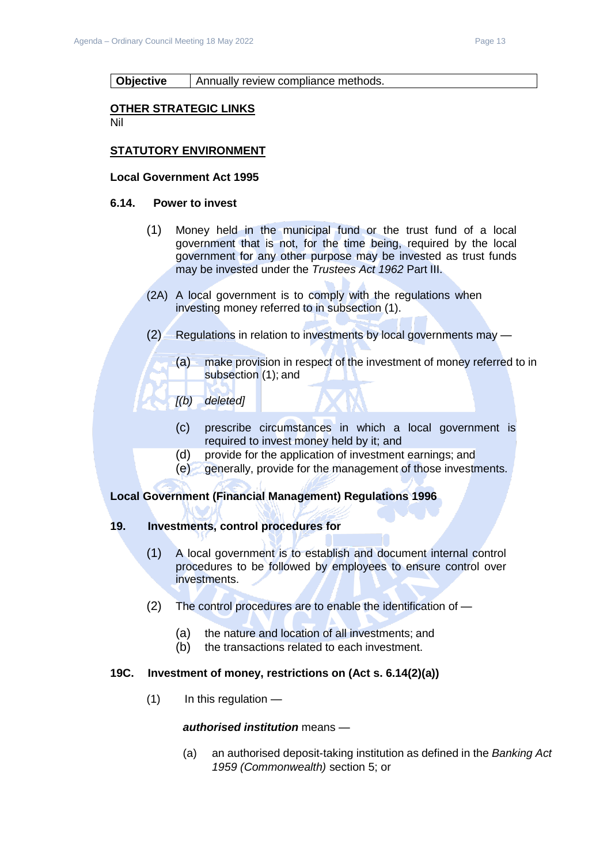#### **Objective** | Annually review compliance methods.

#### **OTHER STRATEGIC LINKS**

Nil

### **STATUTORY ENVIRONMENT**

#### **Local Government Act 1995**

#### **6.14. Power to invest**

- (1) Money held in the municipal fund or the trust fund of a local government that is not, for the time being, required by the local government for any other purpose may be invested as trust funds may be invested under the *Trustees Act 1962* Part III.
- (2A) A local government is to comply with the regulations when investing money referred to in subsection (1).
- (2) Regulations in relation to investments by local governments may
	- (a) make provision in respect of the investment of money referred to in subsection (1); and
	- *[(b) deleted]*
		- (c) prescribe circumstances in which a local government is required to invest money held by it; and
		- (d) provide for the application of investment earnings; and
		- (e) generally, provide for the management of those investments.

### **Local Government (Financial Management) Regulations 1996**

### **19. Investments, control procedures for**

- (1) A local government is to establish and document internal control procedures to be followed by employees to ensure control over investments.
- (2) The control procedures are to enable the identification of
	- (a) the nature and location of all investments; and
	- (b) the transactions related to each investment.

### **19C. Investment of money, restrictions on (Act s. 6.14(2)(a))**

 $(1)$  In this regulation —

### *authorised institution* means —

(a) an authorised deposit-taking institution as defined in the *Banking Act 1959 (Commonwealth)* section 5; or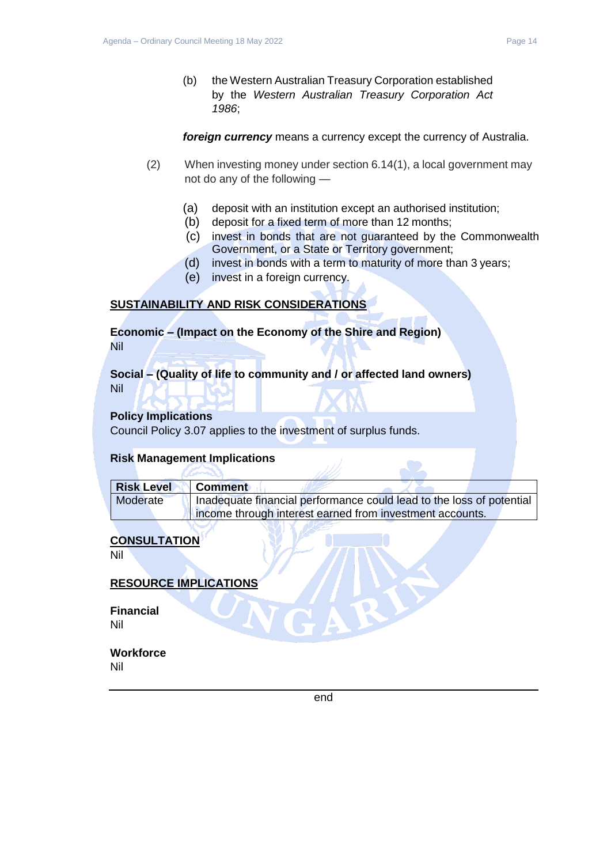*foreign currency* means a currency except the currency of Australia.

- (2) When investing money under section 6.14(1), a local government may not do any of the following —
	- (a) deposit with an institution except an authorised institution;
	- (b) deposit for a fixed term of more than 12 months;
	- (c) invest in bonds that are not guaranteed by the Commonwealth Government, or a State or Territory government;
	- (d) invest in bonds with a term to maturity of more than 3 years;
	- (e) invest in a foreign currency.

### **SUSTAINABILITY AND RISK CONSIDERATIONS**

**Economic – (Impact on the Economy of the Shire and Region)** Nil

**Social – (Quality of life to community and / or affected land owners)** Nil

### **Policy Implications**

Council Policy 3.07 applies to the investment of surplus funds.

### **Risk Management Implications**

| Risk Level | Comment                                                              |
|------------|----------------------------------------------------------------------|
| Moderate   | Inadequate financial performance could lead to the loss of potential |
|            | income through interest earned from investment accounts.             |

### **CONSULTATION**

Nil

### **RESOURCE IMPLICATIONS**

**Financial** Nil

# **Workforce**

Nil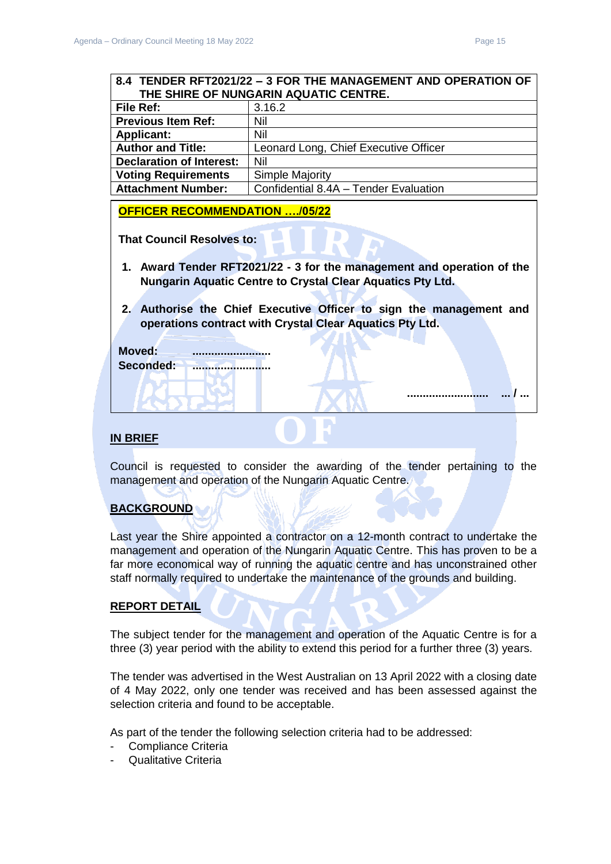**.......................... ... / ...** 

<span id="page-14-0"></span>

| 8.4 TENDER RFT2021/22 - 3 FOR THE MANAGEMENT AND OPERATION OF                                                                               |                                       |  |  |  |
|---------------------------------------------------------------------------------------------------------------------------------------------|---------------------------------------|--|--|--|
| THE SHIRE OF NUNGARIN AQUATIC CENTRE.                                                                                                       |                                       |  |  |  |
| <b>File Ref:</b>                                                                                                                            | 3.16.2                                |  |  |  |
| <b>Previous Item Ref:</b>                                                                                                                   | Nil                                   |  |  |  |
| <b>Applicant:</b>                                                                                                                           | Nil                                   |  |  |  |
| <b>Author and Title:</b>                                                                                                                    | Leonard Long, Chief Executive Officer |  |  |  |
| <b>Declaration of Interest:</b>                                                                                                             | Nil                                   |  |  |  |
| <b>Voting Requirements</b>                                                                                                                  | <b>Simple Majority</b>                |  |  |  |
| <b>Attachment Number:</b>                                                                                                                   | Confidential 8.4A - Tender Evaluation |  |  |  |
| <b>OFFICER RECOMMENDATION /05/22</b>                                                                                                        |                                       |  |  |  |
| <b>That Council Resolves to:</b>                                                                                                            |                                       |  |  |  |
| 1. Award Tender RFT2021/22 - 3 for the management and operation of the<br><b>Nungarin Aquatic Centre to Crystal Clear Aquatics Pty Ltd.</b> |                                       |  |  |  |

**2. Authorise the Chief Executive Officer to sign the management and operations contract with Crystal Clear Aquatics Pty Ltd.** 

| <b>Moved:</b>    | ------------ |
|------------------|--------------|
| <b>Seconded:</b> |              |
|                  |              |
|                  |              |
|                  |              |

### **IN BRIEF**

Council is requested to consider the awarding of the tender pertaining to the management and operation of the Nungarin Aquatic Centre.

### **BACKGROUND**

Last year the Shire appointed a contractor on a 12-month contract to undertake the management and operation of the Nungarin Aquatic Centre. This has proven to be a far more economical way of running the aquatic centre and has unconstrained other staff normally required to undertake the maintenance of the grounds and building.

### **REPORT DETAIL**

The subject tender for the management and operation of the Aquatic Centre is for a three (3) year period with the ability to extend this period for a further three (3) years.

The tender was advertised in the West Australian on 13 April 2022 with a closing date of 4 May 2022, only one tender was received and has been assessed against the selection criteria and found to be acceptable.

As part of the tender the following selection criteria had to be addressed:

- Compliance Criteria
- Qualitative Criteria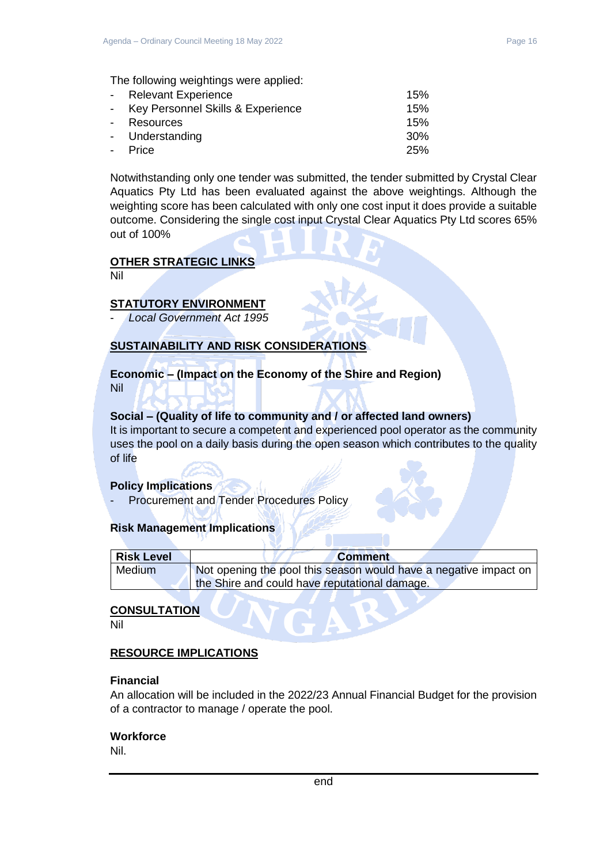The following weightings were applied:

| - Relevant Experience               | 15% |
|-------------------------------------|-----|
| - Key Personnel Skills & Experience | 15% |
| - Resources                         | 15% |
| - Understanding                     | 30% |
| - Price                             | 25% |

Notwithstanding only one tender was submitted, the tender submitted by Crystal Clear Aquatics Pty Ltd has been evaluated against the above weightings. Although the weighting score has been calculated with only one cost input it does provide a suitable outcome. Considering the single cost input Crystal Clear Aquatics Pty Ltd scores 65% out of 100%

### **OTHER STRATEGIC LINKS**

Nil

### **STATUTORY ENVIRONMENT**

- *Local Government Act 1995*

### **SUSTAINABILITY AND RISK CONSIDERATIONS**

#### **Economic – (Impact on the Economy of the Shire and Region)** Nil

### **Social – (Quality of life to community and / or affected land owners)**

It is important to secure a competent and experienced pool operator as the community uses the pool on a daily basis during the open season which contributes to the quality of life

### **Policy Implications**

- Procurement and Tender Procedures Policy

### **Risk Management Implications**

| <b>Risk Level</b> | <b>Comment</b>                                                   |
|-------------------|------------------------------------------------------------------|
| Medium            | Not opening the pool this season would have a negative impact on |
|                   | the Shire and could have reputational damage.                    |

### **CONSULTATION**

Nil

### **RESOURCE IMPLICATIONS**

#### **Financial**

An allocation will be included in the 2022/23 Annual Financial Budget for the provision of a contractor to manage / operate the pool.

### **Workforce**

Nil.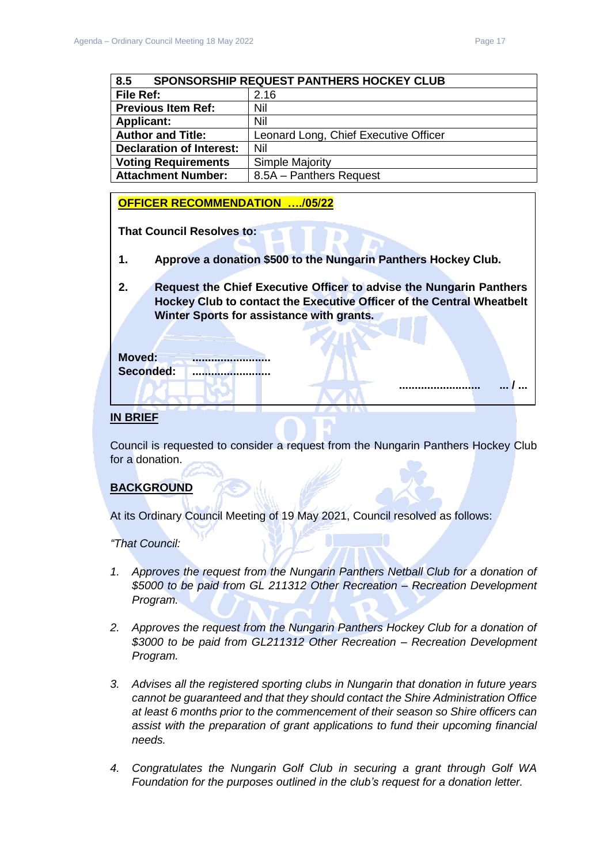**.......................... ... / ...** 

<span id="page-16-0"></span>

| 8.5<br><b>SPONSORSHIP REQUEST PANTHERS HOCKEY CLUB</b> |                                       |  |
|--------------------------------------------------------|---------------------------------------|--|
| File Ref:                                              | 2.16                                  |  |
| <b>Previous Item Ref:</b>                              | Nil                                   |  |
| Nil<br><b>Applicant:</b>                               |                                       |  |
| <b>Author and Title:</b>                               | Leonard Long, Chief Executive Officer |  |
| <b>Declaration of Interest:</b><br>Nil                 |                                       |  |
| <b>Voting Requirements</b><br><b>Simple Majority</b>   |                                       |  |
| <b>Attachment Number:</b><br>8.5A - Panthers Request   |                                       |  |

### **OFFICER RECOMMENDATION …./05/22**

**That Council Resolves to:**

**1. Approve a donation \$500 to the Nungarin Panthers Hockey Club.**

**2. Request the Chief Executive Officer to advise the Nungarin Panthers Hockey Club to contact the Executive Officer of the Central Wheatbelt Winter Sports for assistance with grants.** 

**Moved: .........................** Seconded: **........................**...

### **IN BRIEF**

Council is requested to consider a request from the Nungarin Panthers Hockey Club for a donation.

### **BACKGROUND**

At its Ordinary Council Meeting of 19 May 2021, Council resolved as follows:

*"That Council:*

- *1. Approves the request from the Nungarin Panthers Netball Club for a donation of \$5000 to be paid from GL 211312 Other Recreation – Recreation Development Program.*
- *2. Approves the request from the Nungarin Panthers Hockey Club for a donation of \$3000 to be paid from GL211312 Other Recreation – Recreation Development Program.*
- *3. Advises all the registered sporting clubs in Nungarin that donation in future years cannot be guaranteed and that they should contact the Shire Administration Office at least 6 months prior to the commencement of their season so Shire officers can assist with the preparation of grant applications to fund their upcoming financial needs.*
- *4. Congratulates the Nungarin Golf Club in securing a grant through Golf WA Foundation for the purposes outlined in the club's request for a donation letter.*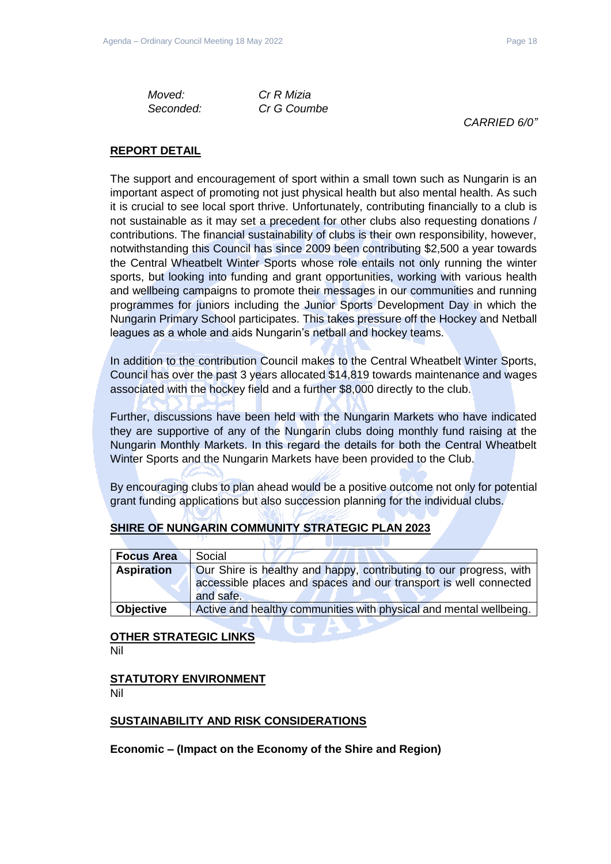*Moved: Cr R Mizia Seconded: Cr G Coumbe*

*CARRIED 6/0"*

### **REPORT DETAIL**

The support and encouragement of sport within a small town such as Nungarin is an important aspect of promoting not just physical health but also mental health. As such it is crucial to see local sport thrive. Unfortunately, contributing financially to a club is not sustainable as it may set a precedent for other clubs also requesting donations / contributions. The financial sustainability of clubs is their own responsibility, however, notwithstanding this Council has since 2009 been contributing \$2,500 a year towards the Central Wheatbelt Winter Sports whose role entails not only running the winter sports, but looking into funding and grant opportunities, working with various health and wellbeing campaigns to promote their messages in our communities and running programmes for juniors including the Junior Sports Development Day in which the Nungarin Primary School participates. This takes pressure off the Hockey and Netball leagues as a whole and aids Nungarin's netball and hockey teams.

In addition to the contribution Council makes to the Central Wheatbelt Winter Sports, Council has over the past 3 years allocated \$14,819 towards maintenance and wages associated with the hockey field and a further \$8,000 directly to the club.

Further, discussions have been held with the Nungarin Markets who have indicated they are supportive of any of the Nungarin clubs doing monthly fund raising at the Nungarin Monthly Markets. In this regard the details for both the Central Wheatbelt Winter Sports and the Nungarin Markets have been provided to the Club.

By encouraging clubs to plan ahead would be a positive outcome not only for potential grant funding applications but also succession planning for the individual clubs.

### **SHIRE OF NUNGARIN COMMUNITY STRATEGIC PLAN 2023**

| <b>Focus Area</b> | Social                                                             |
|-------------------|--------------------------------------------------------------------|
| <b>Aspiration</b> | Our Shire is healthy and happy, contributing to our progress, with |
|                   | accessible places and spaces and our transport is well connected   |
|                   | and safe.                                                          |
| <b>Objective</b>  | Active and healthy communities with physical and mental wellbeing. |

### **OTHER STRATEGIC LINKS** Nil

**STATUTORY ENVIRONMENT**

Nil

### **SUSTAINABILITY AND RISK CONSIDERATIONS**

**Economic – (Impact on the Economy of the Shire and Region)**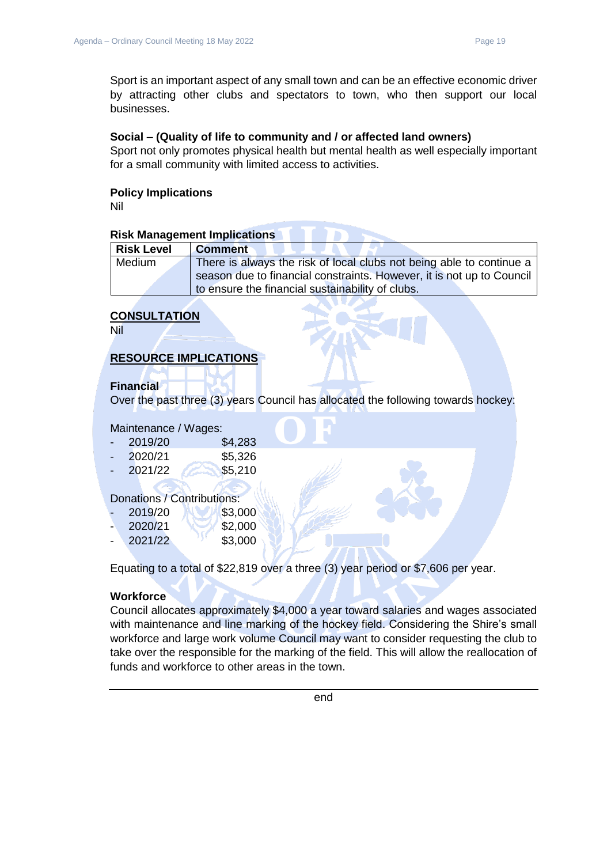Sport is an important aspect of any small town and can be an effective economic driver by attracting other clubs and spectators to town, who then support our local businesses.

### **Social – (Quality of life to community and / or affected land owners)**

Sport not only promotes physical health but mental health as well especially important for a small community with limited access to activities.

### **Policy Implications**

Nil

### **Risk Management Implications**

| <b>Risk Level</b> | <b>Comment</b>                                                        |
|-------------------|-----------------------------------------------------------------------|
| Medium            | There is always the risk of local clubs not being able to continue a  |
|                   | season due to financial constraints. However, it is not up to Council |
|                   | to ensure the financial sustainability of clubs.                      |

**STATISTICS** 

### **CONSULTATION**

Nil

### **RESOURCE IMPLICATIONS**

### **Financial**

Over the past three (3) years Council has allocated the following towards hockey:

#### Maintenance / Wages:

| 2019/20 | \$4,283 |
|---------|---------|
| 2020/21 | \$5,326 |

85,210

### Donations / Contributions:

|   | 2019/20 | \$3,000 |
|---|---------|---------|
| - | 2020/21 | \$2,000 |
| - | 2021/22 | \$3,000 |

Equating to a total of \$22,819 over a three (3) year period or \$7,606 per year.

### **Workforce**

Council allocates approximately \$4,000 a year toward salaries and wages associated with maintenance and line marking of the hockey field. Considering the Shire's small workforce and large work volume Council may want to consider requesting the club to take over the responsible for the marking of the field. This will allow the reallocation of funds and workforce to other areas in the town.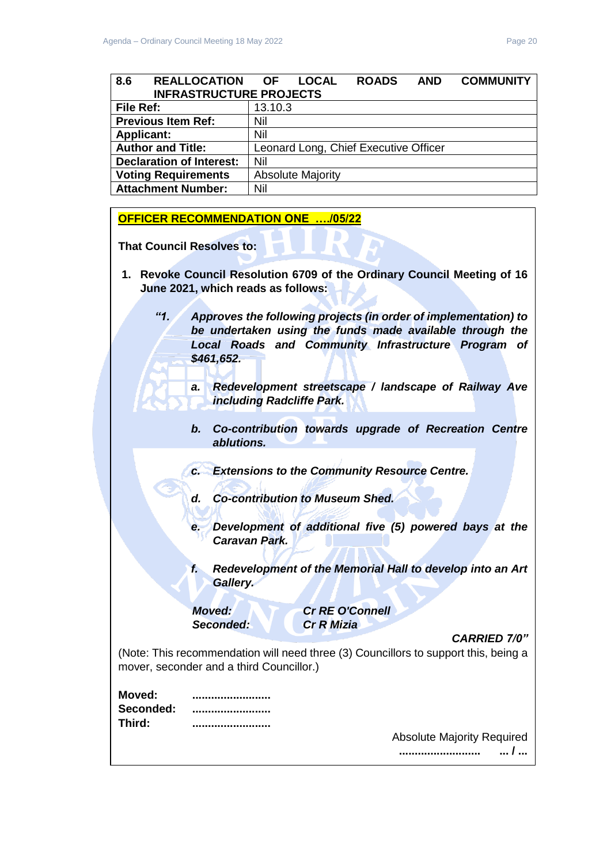<span id="page-19-0"></span>

| 8.6<br>REALLOCATION OF<br><b>INFRASTRUCTURE PROJECTS</b> |                                       | <b>LOCAL</b>             | <b>ROADS</b> | <b>AND</b> | <b>COMMUNITY</b> |
|----------------------------------------------------------|---------------------------------------|--------------------------|--------------|------------|------------------|
| File Ref:                                                | 13.10.3                               |                          |              |            |                  |
| <b>Previous Item Ref:</b>                                | Nil                                   |                          |              |            |                  |
| <b>Applicant:</b>                                        | Nil                                   |                          |              |            |                  |
| <b>Author and Title:</b>                                 | Leonard Long, Chief Executive Officer |                          |              |            |                  |
| <b>Declaration of Interest:</b>                          | Nil                                   |                          |              |            |                  |
| <b>Voting Requirements</b>                               |                                       | <b>Absolute Majority</b> |              |            |                  |
| <b>Attachment Number:</b>                                | Nil                                   |                          |              |            |                  |

### **OFFICER RECOMMENDATION ONE …./05/22**

**That Council Resolves to:** 

- **1. Revoke Council Resolution 6709 of the Ordinary Council Meeting of 16 June 2021, which reads as follows:**
	- *"1. Approves the following projects (in order of implementation) to be undertaken using the funds made available through the Local Roads and Community Infrastructure Program of \$461,652.* 
		- *a. Redevelopment streetscape / landscape of Railway Ave including Radcliffe Park.*
		- *b. Co-contribution towards upgrade of Recreation Centre ablutions.*
		- *c. Extensions to the Community Resource Centre.*
		- *d. Co-contribution to Museum Shed.*
		- *e. Development of additional five (5) powered bays at the Caravan Park.*
		- *f. Redevelopment of the Memorial Hall to develop into an Art Gallery.*

*Seconded: Cr R Mizia*

*Moved: Cr RE O'Connell*

*CARRIED 7/0"*

(Note: This recommendation will need three (3) Councillors to support this, being a mover, seconder and a third Councillor.)

| Moved:    |  |
|-----------|--|
| Seconded: |  |
| Third:    |  |

Absolute Majority Required **.......................... ... / ...**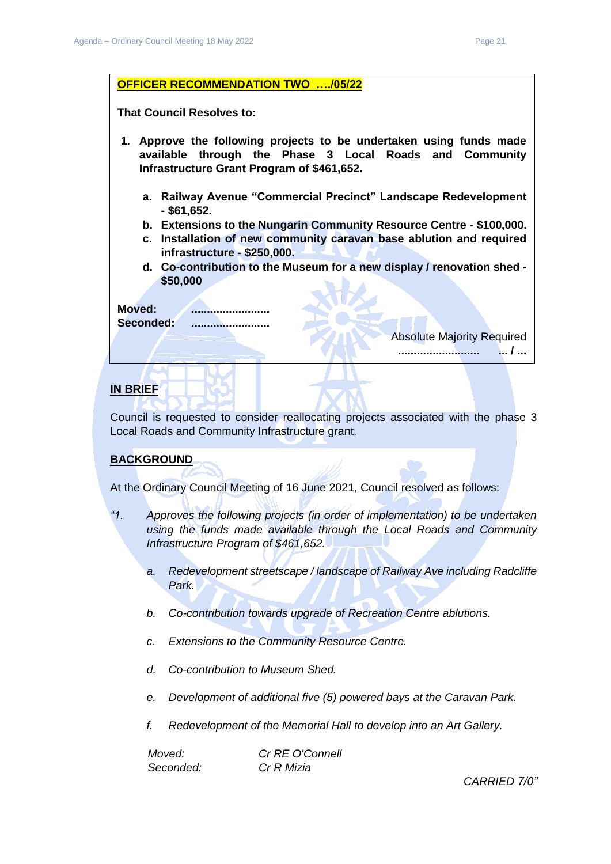

### **IN BRIEF**

Council is requested to consider reallocating projects associated with the phase 3 Local Roads and Community Infrastructure grant.

### **BACKGROUND**

At the Ordinary Council Meeting of 16 June 2021, Council resolved as follows:

- *"1. Approves the following projects (in order of implementation) to be undertaken using the funds made available through the Local Roads and Community Infrastructure Program of \$461,652.* 
	- *a. Redevelopment streetscape / landscape of Railway Ave including Radcliffe Park.*
	- *b. Co-contribution towards upgrade of Recreation Centre ablutions.*
	- *c. Extensions to the Community Resource Centre.*
	- *d. Co-contribution to Museum Shed.*
	- *e. Development of additional five (5) powered bays at the Caravan Park.*
	- *f. Redevelopment of the Memorial Hall to develop into an Art Gallery.*

| Moved:    | Cr RE O'Connell |
|-----------|-----------------|
| Seconded: | Cr R Mizia      |

*CARRIED 7/0"*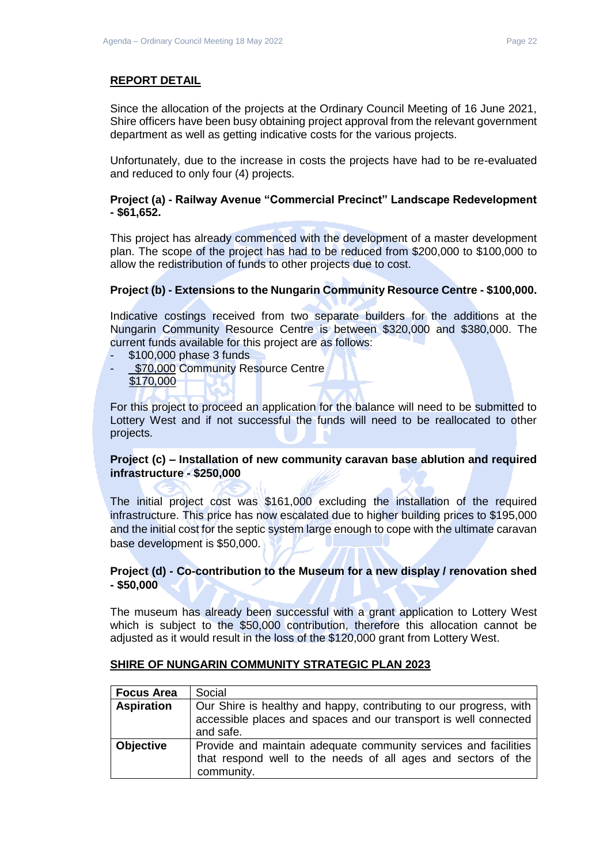Since the allocation of the projects at the Ordinary Council Meeting of 16 June 2021, Shire officers have been busy obtaining project approval from the relevant government department as well as getting indicative costs for the various projects.

Unfortunately, due to the increase in costs the projects have had to be re-evaluated and reduced to only four (4) projects.

### **Project (a) - Railway Avenue "Commercial Precinct" Landscape Redevelopment - \$61,652.**

This project has already commenced with the development of a master development plan. The scope of the project has had to be reduced from \$200,000 to \$100,000 to allow the redistribution of funds to other projects due to cost.

### **Project (b) - Extensions to the Nungarin Community Resource Centre - \$100,000.**

Indicative costings received from two separate builders for the additions at the Nungarin Community Resource Centre is between \$320,000 and \$380,000. The current funds available for this project are as follows:

- \$100,000 phase 3 funds
- \$70,000 Community Resource Centre \$170,000

For this project to proceed an application for the balance will need to be submitted to Lottery West and if not successful the funds will need to be reallocated to other projects.

### **Project (c) – Installation of new community caravan base ablution and required infrastructure - \$250,000**

The initial project cost was \$161,000 excluding the installation of the required infrastructure. This price has now escalated due to higher building prices to \$195,000 and the initial cost for the septic system large enough to cope with the ultimate caravan base development is \$50,000.

### **Project (d) - Co-contribution to the Museum for a new display / renovation shed - \$50,000**

The museum has already been successful with a grant application to Lottery West which is subject to the \$50,000 contribution, therefore this allocation cannot be adjusted as it would result in the loss of the \$120,000 grant from Lottery West.

| <b>Focus Area</b> | Social                                                                                                                                              |  |  |  |  |
|-------------------|-----------------------------------------------------------------------------------------------------------------------------------------------------|--|--|--|--|
| <b>Aspiration</b> | Our Shire is healthy and happy, contributing to our progress, with<br>accessible places and spaces and our transport is well connected<br>and safe. |  |  |  |  |
| <b>Objective</b>  | Provide and maintain adequate community services and facilities<br>that respond well to the needs of all ages and sectors of the<br>community.      |  |  |  |  |

### **SHIRE OF NUNGARIN COMMUNITY STRATEGIC PLAN 2023**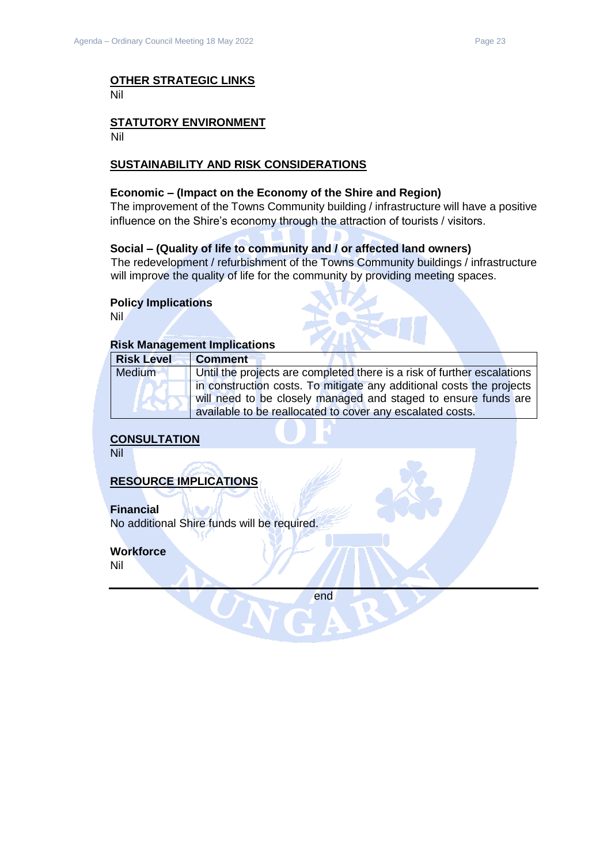#### **OTHER STRATEGIC LINKS** Nil

# **STATUTORY ENVIRONMENT**

Nil

### **SUSTAINABILITY AND RISK CONSIDERATIONS**

### **Economic – (Impact on the Economy of the Shire and Region)**

The improvement of the Towns Community building / infrastructure will have a positive influence on the Shire's economy through the attraction of tourists / visitors.

### **Social – (Quality of life to community and / or affected land owners)**

The redevelopment / refurbishment of the Towns Community buildings / infrastructure will improve the quality of life for the community by providing meeting spaces.

### **Policy Implications**

Nil

### **Risk Management Implications**

| <b>Risk Level</b> | <b>Comment</b>                                                          |
|-------------------|-------------------------------------------------------------------------|
| Medium            | Until the projects are completed there is a risk of further escalations |
|                   | in construction costs. To mitigate any additional costs the projects    |
|                   | will need to be closely managed and staged to ensure funds are          |
|                   | available to be reallocated to cover any escalated costs.               |

**CONSULTATION**

Nil

**RESOURCE IMPLICATIONS**

### **Financial**

No additional Shire funds will be required.

### **Workforce**

Nil

end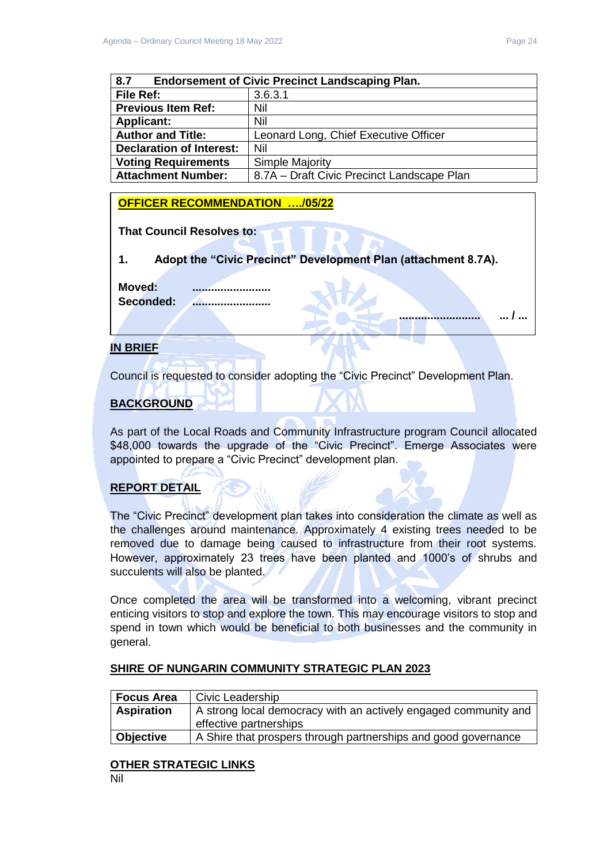**.......................... ... / ...** 

<span id="page-23-0"></span>

| <b>Endorsement of Civic Precinct Landscaping Plan.</b><br>8.7 |                                            |  |  |
|---------------------------------------------------------------|--------------------------------------------|--|--|
| File Ref:                                                     | 3.6.3.1                                    |  |  |
| <b>Previous Item Ref:</b>                                     | Nil                                        |  |  |
| <b>Applicant:</b>                                             | Nil                                        |  |  |
| <b>Author and Title:</b>                                      | Leonard Long, Chief Executive Officer      |  |  |
| <b>Declaration of Interest:</b>                               | Nil                                        |  |  |
| <b>Voting Requirements</b>                                    | Simple Majority                            |  |  |
| <b>Attachment Number:</b>                                     | 8.7A - Draft Civic Precinct Landscape Plan |  |  |

### **OFFICER RECOMMENDATION …./05/22**

**That Council Resolves to:** 

**1. Adopt the "Civic Precinct" Development Plan (attachment 8.7A).** 

**Moved: ......................... Seconded: .........................**

### **IN BRIEF**

Council is requested to consider adopting the "Civic Precinct" Development Plan.

### **BACKGROUND**

As part of the Local Roads and Community Infrastructure program Council allocated \$48,000 towards the upgrade of the "Civic Precinct". Emerge Associates were appointed to prepare a "Civic Precinct" development plan.

### **REPORT DETAIL**

The "Civic Precinct" development plan takes into consideration the climate as well as the challenges around maintenance. Approximately 4 existing trees needed to be removed due to damage being caused to infrastructure from their root systems. However, approximately 23 trees have been planted and 1000's of shrubs and succulents will also be planted.

Once completed the area will be transformed into a welcoming, vibrant precinct enticing visitors to stop and explore the town. This may encourage visitors to stop and spend in town which would be beneficial to both businesses and the community in general.

| <b>Focus Area</b> | Civic Leadership                                                                          |
|-------------------|-------------------------------------------------------------------------------------------|
| <b>Aspiration</b> | A strong local democracy with an actively engaged community and<br>effective partnerships |
| <b>Objective</b>  | A Shire that prospers through partnerships and good governance                            |

### **SHIRE OF NUNGARIN COMMUNITY STRATEGIC PLAN 2023**

# **OTHER STRATEGIC LINKS**

Nil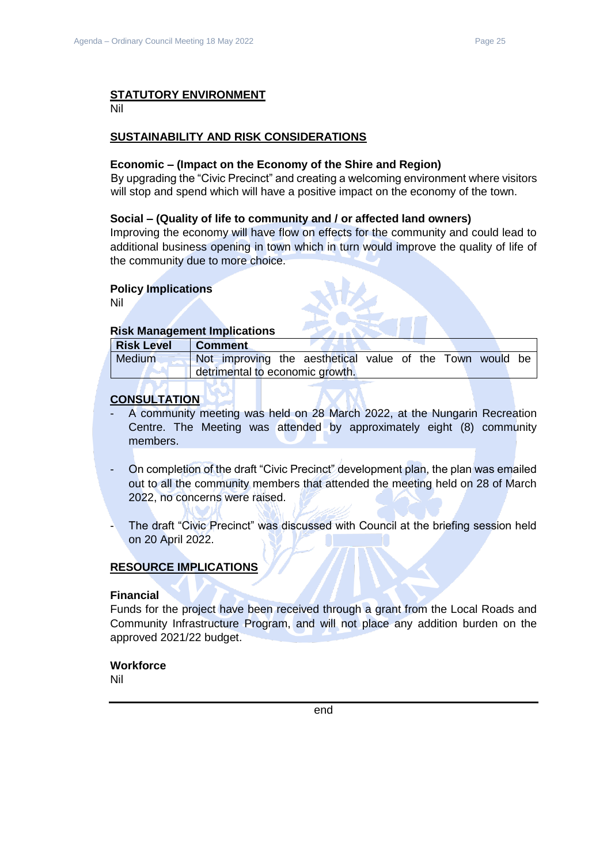### **STATUTORY ENVIRONMENT**

Nil

### **SUSTAINABILITY AND RISK CONSIDERATIONS**

#### **Economic – (Impact on the Economy of the Shire and Region)**

By upgrading the "Civic Precinct" and creating a welcoming environment where visitors will stop and spend which will have a positive impact on the economy of the town.

### **Social – (Quality of life to community and / or affected land owners)**

Improving the economy will have flow on effects for the community and could lead to additional business opening in town which in turn would improve the quality of life of the community due to more choice.

### **Policy Implications**

Nil

### **Risk Management Implications**

| <b>Risk Level</b> | <b>Comment</b>                                           |  |  |  |  |  |  |  |
|-------------------|----------------------------------------------------------|--|--|--|--|--|--|--|
| Medium            | Not improving the aesthetical value of the Town would be |  |  |  |  |  |  |  |
|                   | detrimental to economic growth.                          |  |  |  |  |  |  |  |

### **CONSULTATION**

- A community meeting was held on 28 March 2022, at the Nungarin Recreation Centre. The Meeting was attended by approximately eight (8) community members.
- On completion of the draft "Civic Precinct" development plan, the plan was emailed out to all the community members that attended the meeting held on 28 of March 2022, no concerns were raised.
- The draft "Civic Precinct" was discussed with Council at the briefing session held on 20 April 2022.

### **RESOURCE IMPLICATIONS**

### **Financial**

Funds for the project have been received through a grant from the Local Roads and Community Infrastructure Program, and will not place any addition burden on the approved 2021/22 budget.

### **Workforce**

Nil